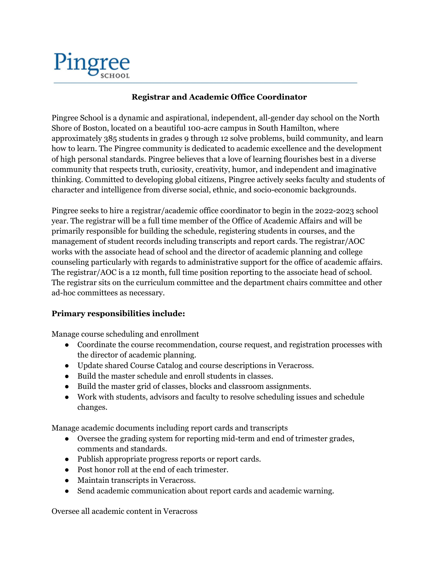

## **Registrar and Academic Office Coordinator**

Pingree School is a dynamic and aspirational, independent, all-gender day school on the North Shore of Boston, located on a beautiful 100-acre campus in South Hamilton, where approximately 385 students in grades 9 through 12 solve problems, build community, and learn how to learn. The Pingree community is dedicated to academic excellence and the development of high personal standards. Pingree believes that a love of learning flourishes best in a diverse community that respects truth, curiosity, creativity, humor, and independent and imaginative thinking. Committed to developing global citizens, Pingree actively seeks faculty and students of character and intelligence from diverse social, ethnic, and socio-economic backgrounds.

Pingree seeks to hire a registrar/academic office coordinator to begin in the 2022-2023 school year. The registrar will be a full time member of the Office of Academic Affairs and will be primarily responsible for building the schedule, registering students in courses, and the management of student records including transcripts and report cards. The registrar/AOC works with the associate head of school and the director of academic planning and college counseling particularly with regards to administrative support for the office of academic affairs. The registrar/AOC is a 12 month, full time position reporting to the associate head of school. The registrar sits on the curriculum committee and the department chairs committee and other ad-hoc committees as necessary.

## **Primary responsibilities include:**

Manage course scheduling and enrollment

- Coordinate the course recommendation, course request, and registration processes with the director of academic planning.
- Update shared Course Catalog and course descriptions in Veracross.
- Build the master schedule and enroll students in classes.
- Build the master grid of classes, blocks and classroom assignments.
- Work with students, advisors and faculty to resolve scheduling issues and schedule changes.

Manage academic documents including report cards and transcripts

- Oversee the grading system for reporting mid-term and end of trimester grades, comments and standards.
- Publish appropriate progress reports or report cards.
- Post honor roll at the end of each trimester.
- Maintain transcripts in Veracross.
- Send academic communication about report cards and academic warning.

Oversee all academic content in Veracross